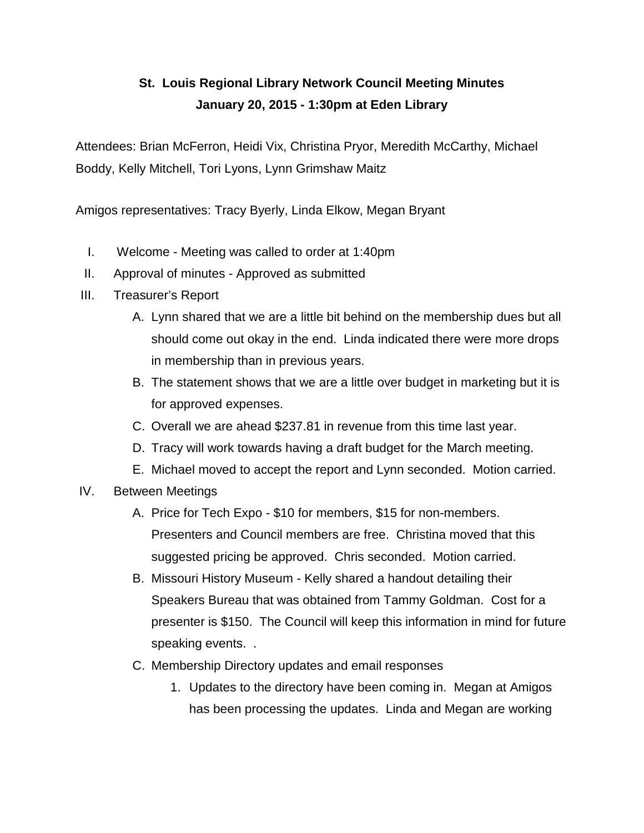# **St. Louis Regional Library Network Council Meeting Minutes January 20, 2015 - 1:30pm at Eden Library**

Attendees: Brian McFerron, Heidi Vix, Christina Pryor, Meredith McCarthy, Michael Boddy, Kelly Mitchell, Tori Lyons, Lynn Grimshaw Maitz

Amigos representatives: Tracy Byerly, Linda Elkow, Megan Bryant

- I. Welcome Meeting was called to order at 1:40pm
- II. Approval of minutes Approved as submitted
- III. Treasurer's Report
	- A. Lynn shared that we are a little bit behind on the membership dues but all should come out okay in the end. Linda indicated there were more drops in membership than in previous years.
	- B. The statement shows that we are a little over budget in marketing but it is for approved expenses.
	- C. Overall we are ahead \$237.81 in revenue from this time last year.
	- D. Tracy will work towards having a draft budget for the March meeting.
	- E. Michael moved to accept the report and Lynn seconded. Motion carried.
- IV. Between Meetings
	- A. Price for Tech Expo \$10 for members, \$15 for non-members. Presenters and Council members are free. Christina moved that this suggested pricing be approved. Chris seconded. Motion carried.
	- B. Missouri History Museum Kelly shared a handout detailing their Speakers Bureau that was obtained from Tammy Goldman. Cost for a presenter is \$150. The Council will keep this information in mind for future speaking events. .
	- C. Membership Directory updates and email responses
		- 1. Updates to the directory have been coming in. Megan at Amigos has been processing the updates. Linda and Megan are working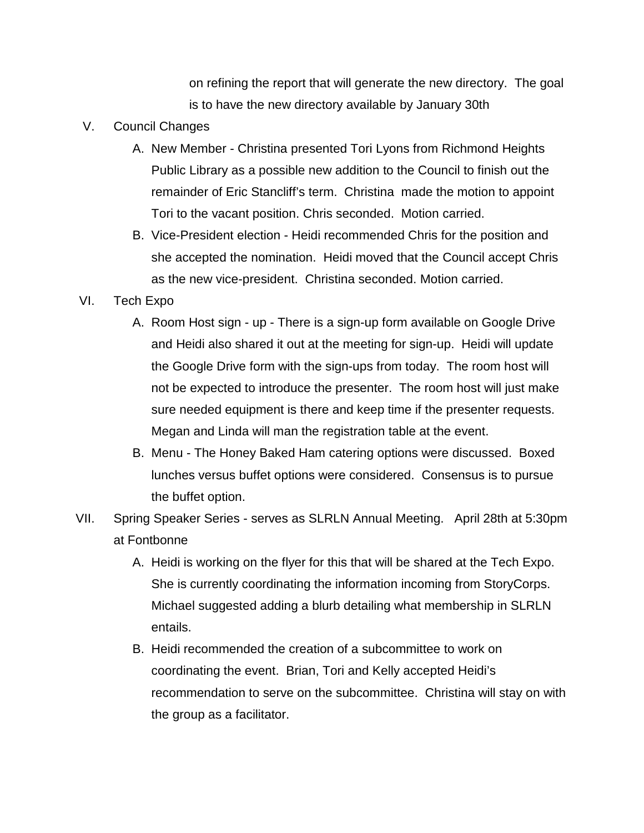on refining the report that will generate the new directory. The goal is to have the new directory available by January 30th

- V. Council Changes
	- A. New Member Christina presented Tori Lyons from Richmond Heights Public Library as a possible new addition to the Council to finish out the remainder of Eric Stancliff's term. Christina made the motion to appoint Tori to the vacant position. Chris seconded. Motion carried.
	- B. Vice-President election Heidi recommended Chris for the position and she accepted the nomination. Heidi moved that the Council accept Chris as the new vice-president. Christina seconded. Motion carried.

## VI. Tech Expo

- A. Room Host sign up There is a sign-up form available on Google Drive and Heidi also shared it out at the meeting for sign-up. Heidi will update the Google Drive form with the sign-ups from today. The room host will not be expected to introduce the presenter. The room host will just make sure needed equipment is there and keep time if the presenter requests. Megan and Linda will man the registration table at the event.
- B. Menu The Honey Baked Ham catering options were discussed. Boxed lunches versus buffet options were considered. Consensus is to pursue the buffet option.
- VII. Spring Speaker Series serves as SLRLN Annual Meeting. April 28th at 5:30pm at Fontbonne
	- A. Heidi is working on the flyer for this that will be shared at the Tech Expo. She is currently coordinating the information incoming from StoryCorps. Michael suggested adding a blurb detailing what membership in SLRLN entails.
	- B. Heidi recommended the creation of a subcommittee to work on coordinating the event. Brian, Tori and Kelly accepted Heidi's recommendation to serve on the subcommittee. Christina will stay on with the group as a facilitator.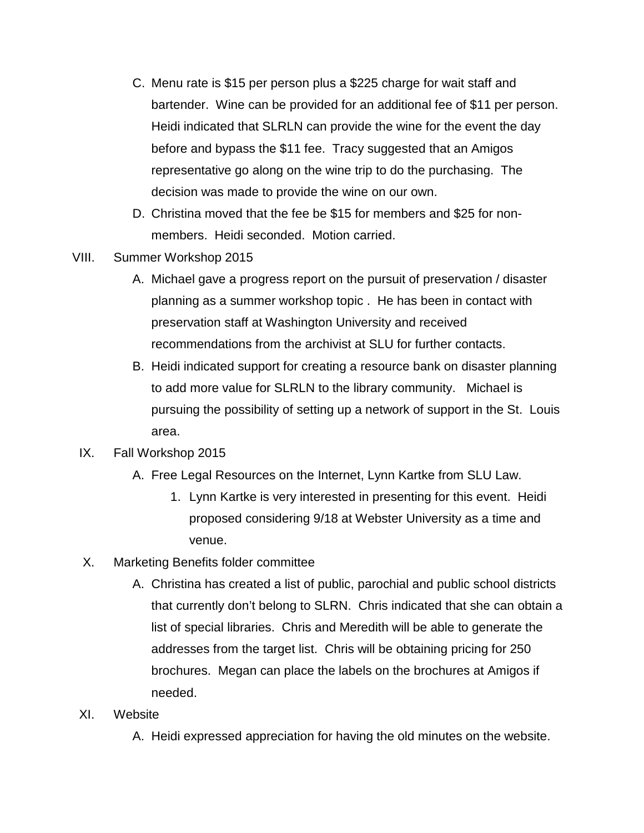- C. Menu rate is \$15 per person plus a \$225 charge for wait staff and bartender. Wine can be provided for an additional fee of \$11 per person. Heidi indicated that SLRLN can provide the wine for the event the day before and bypass the \$11 fee. Tracy suggested that an Amigos representative go along on the wine trip to do the purchasing. The decision was made to provide the wine on our own.
- D. Christina moved that the fee be \$15 for members and \$25 for nonmembers. Heidi seconded. Motion carried.
- VIII. Summer Workshop 2015
	- A. Michael gave a progress report on the pursuit of preservation / disaster planning as a summer workshop topic . He has been in contact with preservation staff at Washington University and received recommendations from the archivist at SLU for further contacts.
	- B. Heidi indicated support for creating a resource bank on disaster planning to add more value for SLRLN to the library community. Michael is pursuing the possibility of setting up a network of support in the St. Louis area.

### IX. Fall Workshop 2015

- A. Free Legal Resources on the Internet, Lynn Kartke from SLU Law.
	- 1. Lynn Kartke is very interested in presenting for this event. Heidi proposed considering 9/18 at Webster University as a time and venue.
- X. Marketing Benefits folder committee
	- A. Christina has created a list of public, parochial and public school districts that currently don't belong to SLRN. Chris indicated that she can obtain a list of special libraries. Chris and Meredith will be able to generate the addresses from the target list. Chris will be obtaining pricing for 250 brochures. Megan can place the labels on the brochures at Amigos if needed.

### XI. Website

A. Heidi expressed appreciation for having the old minutes on the website.